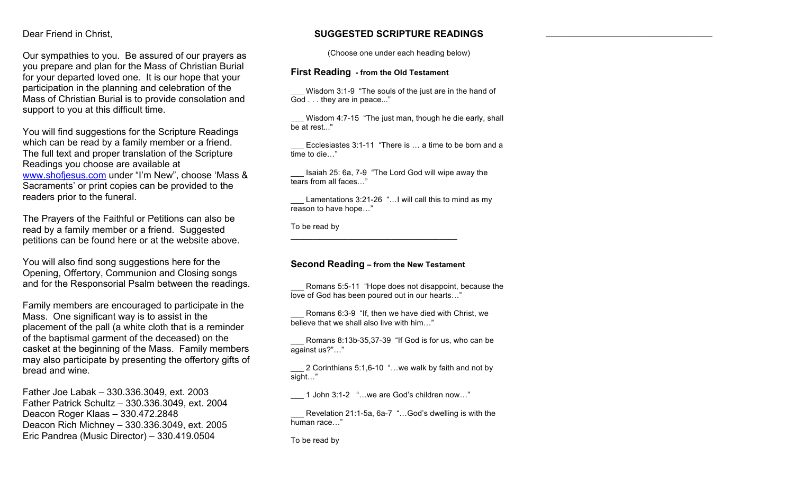#### Dear Friend in Christ,

Our sympathies to you. Be assured of our prayers as you prepare and plan for the Mass of Christian Burial for your departed loved one. It is our hope that your participation in the planning and celebration of the Mass of Christian Burial is to provide consolation and support to you at this difficult time.

You will find suggestions for the Scripture Readings which can be read by a family member or a friend. The full text and proper translation of the Scripture Readings you choose are available at www.shofjesus.com under "I'm New", choose 'Mass & Sacraments' or print copies can be provided to the readers prior to the funeral.

The Prayers of the Faithful or Petitions can also be read by a family member or a friend. Suggested petitions can be found here or at the website above.

You will also find song suggestions here for the Opening, Offertory, Communion and Closing songs and for the Responsorial Psalm between the readings.

Family members are encouraged to participate in the Mass. One significant way is to assist in the placement of the pall (a white cloth that is a reminder of the baptismal garment of the deceased) on the casket at the beginning of the Mass. Family members may also participate by presenting the offertory gifts of bread and wine.

Father Joe Labak – 330.336.3049, ext. 2003 Father Patrick Schultz – 330.336.3049, ext. 2004 Deacon Roger Klaas – 330.472.2848 Deacon Rich Michney – 330.336.3049, ext. 2005 Eric Pandrea (Music Director) – 330.419.0504

# **SUGGESTED SCRIPTURE READINGS**

 $\mathcal{L}_\text{max}$  and  $\mathcal{L}_\text{max}$  and  $\mathcal{L}_\text{max}$  and  $\mathcal{L}_\text{max}$ 

(Choose one under each heading below)

#### **First Reading - from the Old Testament**

Wisdom 3:1-9 "The souls of the just are in the hand of God . . . they are in peace..."

Wisdom 4:7-15 "The just man, though he die early, shall be at rest..."

Ecclesiastes 3:1-11 "There is ... a time to be born and a time to die…"

\_\_\_ Isaiah 25: 6a, 7-9 "The Lord God will wipe away the tears from all faces…"

Lamentations 3:21-26 "... I will call this to mind as my reason to have hope…"

To be read by

# **Second Reading – from the New Testament**

 $\mathcal{L}_\text{max}$  and  $\mathcal{L}_\text{max}$  and  $\mathcal{L}_\text{max}$  and  $\mathcal{L}_\text{max}$ 

Romans 5:5-11 "Hope does not disappoint, because the love of God has been poured out in our hearts…"

Romans 6:3-9 "If, then we have died with Christ, we believe that we shall also live with him…"

Romans 8:13b-35,37-39 "If God is for us, who can be against us?"…"

2 Corinthians 5:1,6-10 "...we walk by faith and not by sight…"

\_\_\_ 1 John 3:1-2 "…we are God's children now…"

Revelation 21:1-5a, 6a-7 "...God's dwelling is with the human race…"

To be read by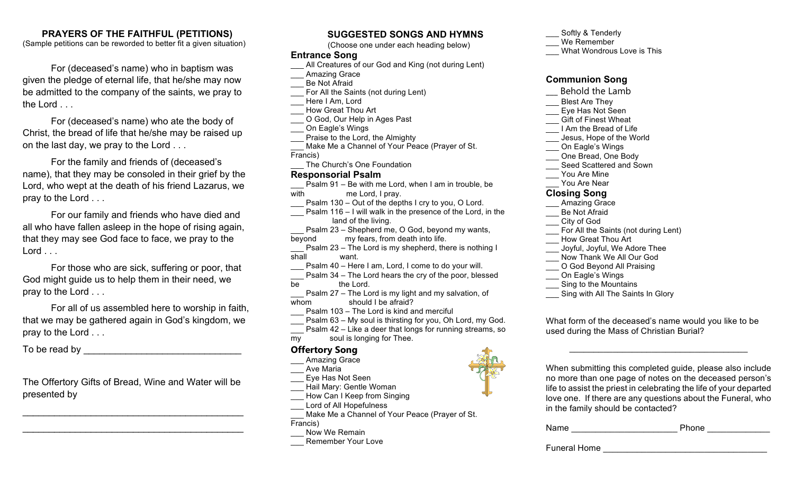# **PRAYERS OF THE FAITHFUL (PETITIONS)**

(Sample petitions can be reworded to better fit a given situation)

For (deceased's name) who in baptism was given the pledge of eternal life, that he/she may now be admitted to the company of the saints, we pray to the Lord . . .

For (deceased's name) who ate the body of Christ, the bread of life that he/she may be raised up on the last day, we pray to the Lord . . .

For the family and friends of (deceased's name), that they may be consoled in their grief by the Lord, who wept at the death of his friend Lazarus, we pray to the Lord . . .

For our family and friends who have died and all who have fallen asleep in the hope of rising again, that they may see God face to face, we pray to the Lord . . .

For those who are sick, suffering or poor, that God might guide us to help them in their need, we pray to the Lord . . .

For all of us assembled here to worship in faith, that we may be gathered again in God's kingdom, we pray to the Lord . . .

To be read by **EXECUTE:** 

The Offertory Gifts of Bread, Wine and Water will be presented by

 $\overline{\mathcal{L}}$  , and the contribution of the contribution of the contribution of the contribution of the contribution of the contribution of the contribution of the contribution of the contribution of the contribution of the

 $\overline{\phantom{a}}$  , which is a set of the set of the set of the set of the set of the set of the set of the set of the set of the set of the set of the set of the set of the set of the set of the set of the set of the set of th

# **SUGGESTED SONGS AND HYMNS**

(Choose one under each heading below)

#### **Entrance Song**

- All Creatures of our God and King (not during Lent)
- Amazing Grace
- Be Not Afraid
- For All the Saints (not during Lent)
- Here I Am, Lord
- How Great Thou Art
- O God, Our Help in Ages Past
- On Eagle's Wings
- Praise to the Lord, the Almighty
- Make Me a Channel of Your Peace (Prayer of St. Francis)
	- The Church's One Foundation

# **Responsorial Psalm**

- Psalm 91 Be with me Lord, when I am in trouble, be with me Lord, I pray.
- Psalm 130 Out of the depths I cry to you, O Lord.
- **Psalm 116 I will walk in the presence of the Lord, in the** land of the living.
- Psalm 23 Shepherd me, O God, beyond my wants, beyond my fears, from death into life.
- Psalm 23 The Lord is my shepherd, there is nothing I shall want.
- Psalm 40 Here I am, Lord, I come to do your will.
- Psalm 34 The Lord hears the cry of the poor, blessed
- be the Lord.
- Psalm 27 The Lord is my light and my salvation, of whom should I be afraid?
- Psalm 103 The Lord is kind and merciful
- Psalm 63 My soul is thirsting for you, Oh Lord, my God.
- Psalm 42 Like a deer that longs for running streams, so
- my soul is longing for Thee.

# **Offertory Song**

- Amazing Grace
- Ave Maria
- \_\_\_ Eye Has Not Seen Hail Mary: Gentle Woman
- How Can I Keep from Singing
- Lord of All Hopefulness
- Make Me a Channel of Your Peace (Prayer of St. Francis)
- Now We Remain
- Remember Your Love

#### Softly & Tenderly

- We Remember
- What Wondrous Love is This

### **Communion Song**

- \_\_\_ Behold the Lamb Blest Are They \_\_\_ Eye Has Not Seen Gift of Finest Wheat \_\_\_ I Am the Bread of Life Jesus, Hope of the World On Eagle's Wings One Bread, One Body Seed Scattered and Sown You Are Mine You Are Near **Closing Song** Amazing Grace \_\_\_ Be Not Afraid \_\_\_ City of God For All the Saints (not during Lent) \_\_\_ How Great Thou Art Joyful, Joyful, We Adore Thee Now Thank We All Our God O God Beyond All Praising On Eagle's Wings Sing to the Mountains
- Sing with All The Saints In Glory

What form of the deceased's name would you like to be used during the Mass of Christian Burial?



When submitting this completed guide, please also include no more than one page of notes on the deceased person's life to assist the priest in celebrating the life of your departed love one. If there are any questions about the Funeral, who in the family should be contacted?

 $\mathcal{L}_\text{max}$  , where  $\mathcal{L}_\text{max}$  is the set of the set of the set of the set of the set of the set of the set of the set of the set of the set of the set of the set of the set of the set of the set of the set of the se

| Name | Phone |  |
|------|-------|--|
|      |       |  |

Funeral Home **Exercise Exercise Advantagement** of  $\mathbb{R}^n$